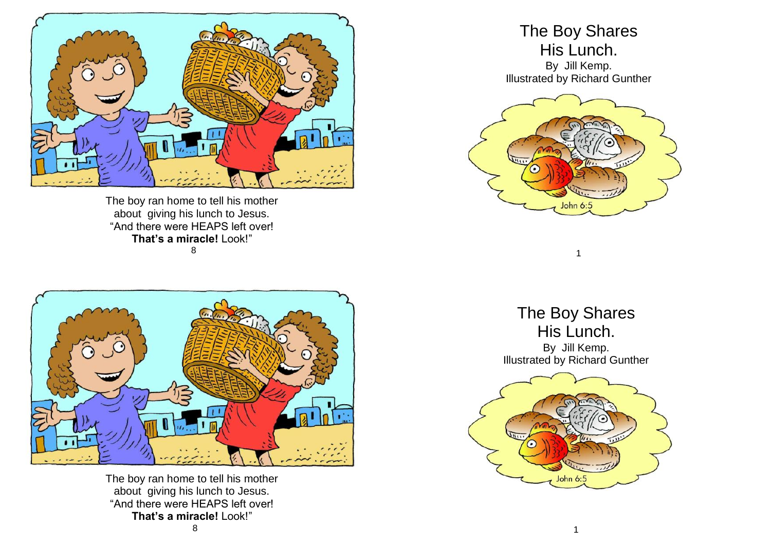

The boy ran home to tell his mother about giving his lunch to Jesus. "And there were HEAPS left over! **That's a miracle!** Look!" 8



The boy ran home to tell his mother about giving his lunch to Jesus. "And there were HEAPS left over! **That's a miracle!** Look!"

## The Boy Shares His Lunch.

By Jill Kemp. Illustrated by Richard Gunther



The Boy Shares His Lunch. By Jill Kemp. Illustrated by Richard Gunther

1

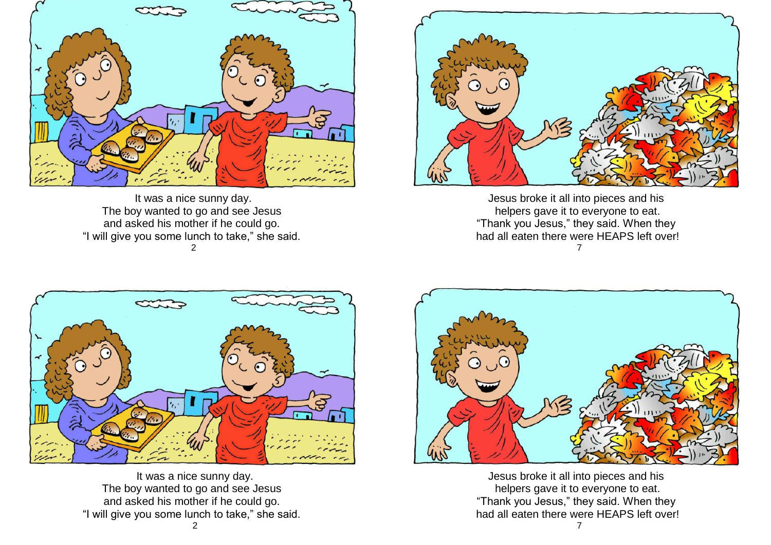

It was a nice sunny day. The boy wanted to go and see Jesus and asked his mother if he could go. "I will give you some lunch to take," she said. 2



Jesus broke it all into pieces and his helpers gave it to everyone to eat. "Thank you Jesus," they said. When they had all eaten there were HEAPS left over! 7



 It was a nice sunny day. The boy wanted to go and see Jesus and asked his mother if he could go. "I will give you some lunch to take," she said. 2



Jesus broke it all into pieces and his helpers gave it to everyone to eat. "Thank you Jesus," they said. When they had all eaten there were HEAPS left over!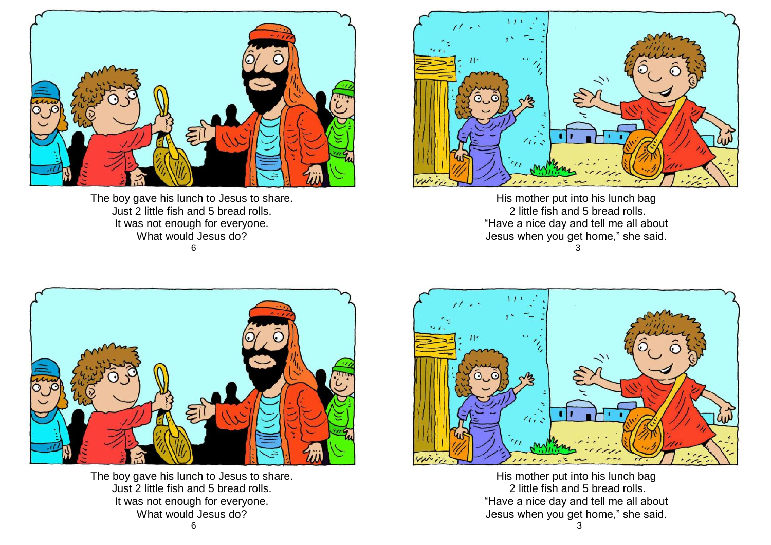

The boy gave his lunch to Jesus to share. Just 2 little fish and 5 bread rolls. It was not enough for everyone. What would Jesus do? 6



His mother put into his lunch bag 2 little fish and 5 bread rolls. "Have a nice day and tell me all about Jesus when you get home," she said. 3



The boy gave his lunch to Jesus to share. Just 2 little fish and 5 bread rolls. It was not enough for everyone. What would Jesus do?



His mother put into his lunch bag 2 little fish and 5 bread rolls. "Have a nice day and tell me all about Jesus when you get home," she said.